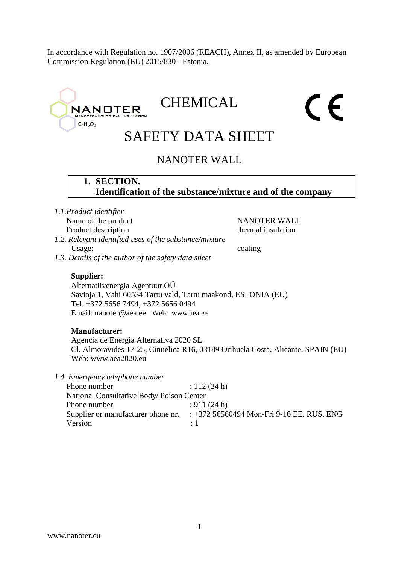In accordance with Regulation no. 1907/2006 (REACH), Annex II, as amended by European Commission Regulation (EU) 2015/830 - Estonia.

# **CHEMICAL** CE **NANOTER** TECHNOLOGICAL INS  $C_4H_6O_2$ SAFETY DATA SHEET NANOTER WALL **1. SECTION. Identification of the substance/mixture and of the company** *1.1.Product identifier* Name of the product NANOTER WALL Product description thermal insulation *1.2. Relevant identified uses of the substance/mixture* Usage: coating *1.3. Details of the author of the safety data sheet* **Supplier:** Alternatiivenergia Agentuur OÜ Savioja 1, Vahi 60534 Tartu vald, Tartu maakond, ESTONIA (EU) Tel. +372 5656 7494, +372 5656 0494 Email: nanoter@aea.ee Web: www.aea.ee **Manufacturer:**  Agencia de Energia Alternativa 2020 SL Cl. Almoravides 17-25, Cinuelica R16, 03189 Orihuela Costa, Alicante, SPAIN (EU) Web: www.aea2020.eu *1.4. Emergency telephone number* Phone number : 112 (24 h) National Consultative Body/ Poison Center Phone number : 911 (24 h) Supplier or manufacturer phone nr. : +372 56560494 Mon-Fri 9-16 EE, RUS, ENG Version : 1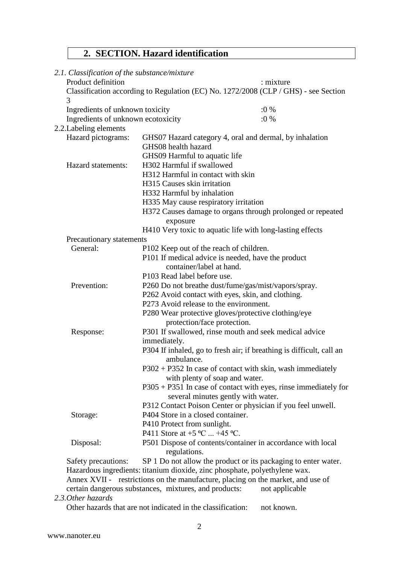# **2. SECTION. Hazard identification**

| 2.1. Classification of the substance/mixture                                                              |                                                                                 |                                                                                     |  |  |
|-----------------------------------------------------------------------------------------------------------|---------------------------------------------------------------------------------|-------------------------------------------------------------------------------------|--|--|
| Product definition                                                                                        |                                                                                 | : mixture                                                                           |  |  |
| 3                                                                                                         |                                                                                 | Classification according to Regulation (EC) No. 1272/2008 (CLP / GHS) - see Section |  |  |
| Ingredients of unknown toxicity                                                                           |                                                                                 | $:0\%$                                                                              |  |  |
| Ingredients of unknown ecotoxicity                                                                        |                                                                                 | $:0\%$                                                                              |  |  |
| 2.2. Labeling elements                                                                                    |                                                                                 |                                                                                     |  |  |
| Hazard pictograms:<br>GHS07 Hazard category 4, oral and dermal, by inhalation                             |                                                                                 |                                                                                     |  |  |
|                                                                                                           | GHS08 health hazard                                                             |                                                                                     |  |  |
|                                                                                                           | GHS09 Harmful to aquatic life                                                   |                                                                                     |  |  |
| Hazard statements:                                                                                        | H302 Harmful if swallowed                                                       |                                                                                     |  |  |
| H312 Harmful in contact with skin                                                                         |                                                                                 |                                                                                     |  |  |
|                                                                                                           | H315 Causes skin irritation                                                     |                                                                                     |  |  |
|                                                                                                           | H332 Harmful by inhalation                                                      |                                                                                     |  |  |
|                                                                                                           | H335 May cause respiratory irritation                                           |                                                                                     |  |  |
|                                                                                                           |                                                                                 | H372 Causes damage to organs through prolonged or repeated                          |  |  |
|                                                                                                           | exposure                                                                        |                                                                                     |  |  |
|                                                                                                           | H410 Very toxic to aquatic life with long-lasting effects                       |                                                                                     |  |  |
| Precautionary statements                                                                                  |                                                                                 |                                                                                     |  |  |
| General:<br>P102 Keep out of the reach of children.<br>P101 If medical advice is needed, have the product |                                                                                 |                                                                                     |  |  |
|                                                                                                           |                                                                                 |                                                                                     |  |  |
|                                                                                                           | container/label at hand.                                                        |                                                                                     |  |  |
|                                                                                                           | P103 Read label before use.                                                     |                                                                                     |  |  |
| Prevention:                                                                                               | P260 Do not breathe dust/fume/gas/mist/vapors/spray.                            |                                                                                     |  |  |
|                                                                                                           | P262 Avoid contact with eyes, skin, and clothing.                               |                                                                                     |  |  |
|                                                                                                           | P273 Avoid release to the environment.                                          |                                                                                     |  |  |
|                                                                                                           | P280 Wear protective gloves/protective clothing/eye                             |                                                                                     |  |  |
|                                                                                                           | protection/face protection.                                                     |                                                                                     |  |  |
| Response:                                                                                                 | P301 If swallowed, rinse mouth and seek medical advice                          |                                                                                     |  |  |
|                                                                                                           | immediately.                                                                    |                                                                                     |  |  |
|                                                                                                           | ambulance.                                                                      | P304 If inhaled, go to fresh air; if breathing is difficult, call an                |  |  |
|                                                                                                           |                                                                                 | P302 + P352 In case of contact with skin, wash immediately                          |  |  |
|                                                                                                           | with plenty of soap and water.                                                  |                                                                                     |  |  |
|                                                                                                           |                                                                                 | $P305 + P351$ In case of contact with eyes, rinse immediately for                   |  |  |
|                                                                                                           | several minutes gently with water.                                              |                                                                                     |  |  |
|                                                                                                           |                                                                                 | P312 Contact Poison Center or physician if you feel unwell.                         |  |  |
| Storage:                                                                                                  | P404 Store in a closed container.                                               |                                                                                     |  |  |
| P410 Protect from sunlight.                                                                               |                                                                                 |                                                                                     |  |  |
|                                                                                                           | P411 Store at $+5$ °C $+45$ °C.                                                 |                                                                                     |  |  |
| Disposal:                                                                                                 |                                                                                 | P501 Dispose of contents/container in accordance with local                         |  |  |
|                                                                                                           | regulations.                                                                    |                                                                                     |  |  |
| Safety precautions:                                                                                       |                                                                                 | SP 1 Do not allow the product or its packaging to enter water.                      |  |  |
|                                                                                                           | Hazardous ingredients: titanium dioxide, zinc phosphate, polyethylene wax.      |                                                                                     |  |  |
|                                                                                                           | Annex XVII - restrictions on the manufacture, placing on the market, and use of |                                                                                     |  |  |

certain dangerous substances, mixtures, and products: not applicable

### *2.3.Other hazards*

Other hazards that are not indicated in the classification: not known.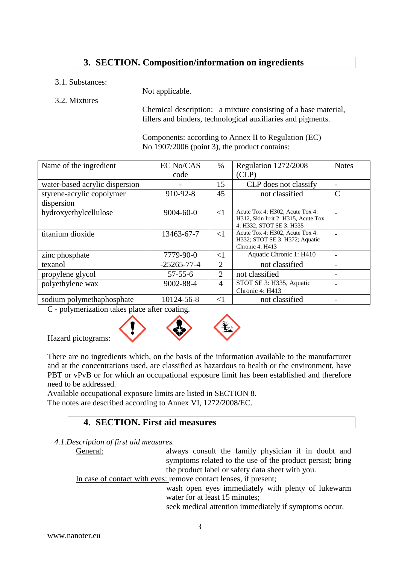## **3. SECTION. Composition/information on ingredients**

3.1. Substances:

Not applicable.

3.2. Mixtures

Chemical description: a mixture consisting of a base material, fillers and binders, technological auxiliaries and pigments.

Components: according to Annex II to Regulation (EC) No 1907/2006 (point 3), the product contains:

| Name of the ingredient         | EC No/CAS         | $\%$           | Regulation 1272/2008                                            | <b>Notes</b> |
|--------------------------------|-------------------|----------------|-----------------------------------------------------------------|--------------|
|                                | code              |                | CLP)                                                            |              |
| water-based acrylic dispersion |                   | 15             | CLP does not classify                                           |              |
| styrene-acrylic copolymer      | 910-92-8          | 45             | not classified                                                  | C            |
| dispersion                     |                   |                |                                                                 |              |
| hydroxyethylcellulose          | $9004 - 60 - 0$   | $\leq$ 1       | Acute Tox 4: H302, Acute Tox 4:                                 |              |
|                                |                   |                | H312, Skin Irrit 2: H315, Acute Tox<br>4: H332, STOT SE 3: H335 |              |
| titanium dioxide               | 13463-67-7        | $\leq$ 1       | Acute Tox 4: H302, Acute Tox 4:                                 |              |
|                                |                   |                | H332; STOT SE 3: H372; Aquatic<br>Chronic 4: H413               |              |
| zinc phosphate                 | 7779-90-0         | $\leq$ 1       | Aquatic Chronic 1: H410                                         |              |
| texanol                        | $-25265 - 77 - 4$ | 2              | not classified                                                  |              |
| propylene glycol               | $57 - 55 - 6$     | 2              | not classified                                                  |              |
| polyethylene wax               | 9002-88-4         | $\overline{4}$ | STOT SE 3: H335, Aquatic                                        |              |
|                                |                   |                | Chronic 4: H413                                                 |              |
| sodium polymethaphosphate      | 10124-56-8        | $\leq$ 1       | not classified                                                  |              |

C - polymerization takes place after coating.



Hazard pictograms:

There are no ingredients which, on the basis of the information available to the manufacturer and at the concentrations used, are classified as hazardous to health or the environment, have PBT or vPvB or for which an occupational exposure limit has been established and therefore need to be addressed.

Available occupational exposure limits are listed in SECTION 8. The notes are described according to Annex VI, 1272/2008/EC.

## **4. SECTION. First aid measures**

*4.1.Description of first aid measures.*

General: always consult the family physician if in doubt and symptoms related to the use of the product persist; bring the product label or safety data sheet with you.

In case of contact with eyes: remove contact lenses, if present;

wash open eyes immediately with plenty of lukewarm water for at least 15 minutes;

seek medical attention immediately if symptoms occur.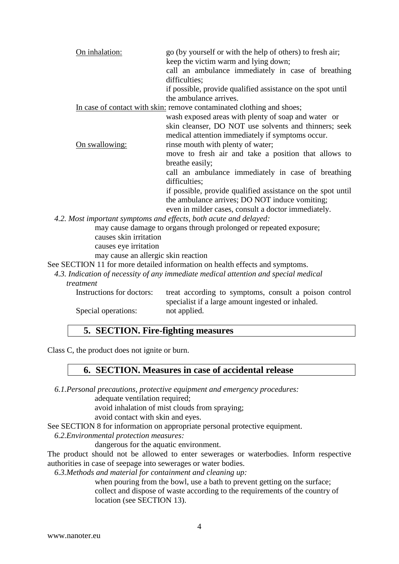| On inhalation:                      | go (by yourself or with the help of others) to fresh air;<br>keep the victim warm and lying down;<br>call an ambulance immediately in case of breathing<br>difficulties;<br>if possible, provide qualified assistance on the spot until<br>the ambulance arrives. |
|-------------------------------------|-------------------------------------------------------------------------------------------------------------------------------------------------------------------------------------------------------------------------------------------------------------------|
|                                     | In case of contact with skin: remove contaminated clothing and shoes;                                                                                                                                                                                             |
|                                     | wash exposed areas with plenty of soap and water or                                                                                                                                                                                                               |
|                                     | skin cleanser, DO NOT use solvents and thinners; seek                                                                                                                                                                                                             |
|                                     | medical attention immediately if symptoms occur.                                                                                                                                                                                                                  |
| On swallowing:                      | rinse mouth with plenty of water;                                                                                                                                                                                                                                 |
|                                     | move to fresh air and take a position that allows to                                                                                                                                                                                                              |
|                                     | breathe easily;                                                                                                                                                                                                                                                   |
|                                     | call an ambulance immediately in case of breathing<br>difficulties;                                                                                                                                                                                               |
|                                     | if possible, provide qualified assistance on the spot until                                                                                                                                                                                                       |
|                                     | the ambulance arrives; DO NOT induce vomiting;                                                                                                                                                                                                                    |
|                                     | even in milder cases, consult a doctor immediately.                                                                                                                                                                                                               |
|                                     | 4.2. Most important symptoms and effects, both acute and delayed:                                                                                                                                                                                                 |
|                                     | may cause damage to organs through prolonged or repeated exposure;                                                                                                                                                                                                |
| causes skin irritation              |                                                                                                                                                                                                                                                                   |
| causes eye irritation               |                                                                                                                                                                                                                                                                   |
| may cause an allergic skin reaction |                                                                                                                                                                                                                                                                   |

See SECTION 11 for more detailed information on health effects and symptoms.

*4.3. Indication of necessity of any immediate medical attention and special medical* 

#### *treatment*

| treat according to symptoms, consult a poison control |
|-------------------------------------------------------|
| specialist if a large amount ingested or inhaled.     |
| not applied.                                          |
|                                                       |

## **5. SECTION. Fire-fighting measures**

Class C, the product does not ignite or burn.

#### **6. SECTION. Measures in case of accidental release**

*6.1.Personal precautions, protective equipment and emergency procedures:*

adequate ventilation required;

avoid inhalation of mist clouds from spraying;

avoid contact with skin and eyes.

See SECTION 8 for information on appropriate personal protective equipment.

*6.2.Environmental protection measures:*

dangerous for the aquatic environment.

The product should not be allowed to enter sewerages or waterbodies. Inform respective authorities in case of seepage into sewerages or water bodies.

*6.3.Methods and material for containment and cleaning up:*

when pouring from the bowl, use a bath to prevent getting on the surface; collect and dispose of waste according to the requirements of the country of location (see SECTION 13).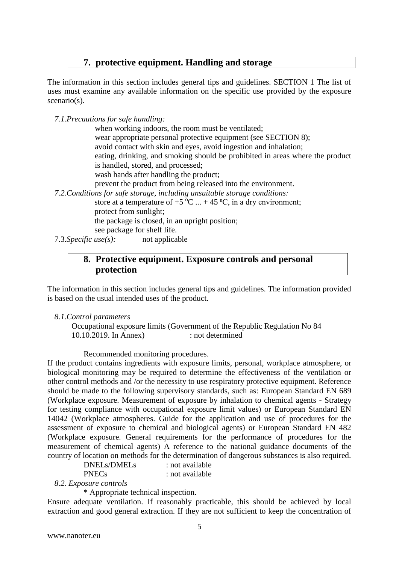## **7. protective equipment. Handling and storage**

The information in this section includes general tips and guidelines. SECTION 1 The list of uses must examine any available information on the specific use provided by the exposure scenario(s).

*7.1.Precautions for safe handling:*

when working indoors, the room must be ventilated; wear appropriate personal protective equipment (see SECTION 8); avoid contact with skin and eyes, avoid ingestion and inhalation; eating, drinking, and smoking should be prohibited in areas where the product is handled, stored, and processed; wash hands after handling the product; prevent the product from being released into the environment. *7.2.Conditions for safe storage, including unsuitable storage conditions:* store at a temperature of  $+5\,^{\circ}\text{C}$  ... + 45 °C, in a dry environment; protect from sunlight; the package is closed, in an upright position; see package for shelf life.

7.3.*Specific use(s):* not applicable

### **8. Protective equipment. Exposure controls and personal protection**

The information in this section includes general tips and guidelines. The information provided is based on the usual intended uses of the product.

#### *8.1.Control parameters*

Occupational exposure limits (Government of the Republic Regulation No 84 10.10.2019. In Annex) : not determined

Recommended monitoring procedures.

If the product contains ingredients with exposure limits, personal, workplace atmosphere, or biological monitoring may be required to determine the effectiveness of the ventilation or other control methods and /or the necessity to use respiratory protective equipment. Reference should be made to the following supervisory standards, such as: European Standard EN 689 (Workplace exposure. Measurement of exposure by inhalation to chemical agents - Strategy for testing compliance with occupational exposure limit values) or European Standard EN 14042 (Workplace atmospheres. Guide for the application and use of procedures for the assessment of exposure to chemical and biological agents) or European Standard EN 482 (Workplace exposure. General requirements for the performance of procedures for the measurement of chemical agents) A reference to the national guidance documents of the country of location on methods for the determination of dangerous substances is also required.

DNELs/DMELs : not available PNECs : not available

*8.2. Exposure controls*

\* Appropriate technical inspection.

Ensure adequate ventilation. If reasonably practicable, this should be achieved by local extraction and good general extraction. If they are not sufficient to keep the concentration of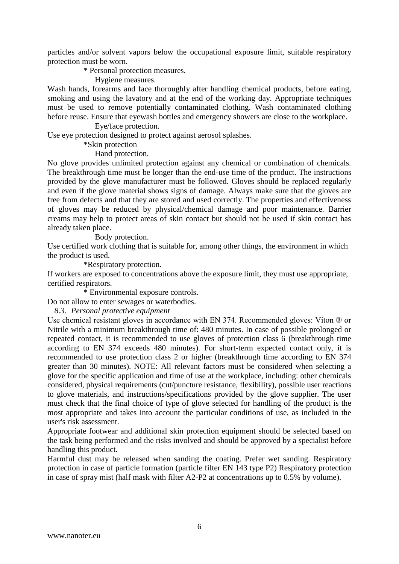particles and/or solvent vapors below the occupational exposure limit, suitable respiratory protection must be worn.

\* Personal protection measures.

Hygiene measures.

Wash hands, forearms and face thoroughly after handling chemical products, before eating, smoking and using the lavatory and at the end of the working day. Appropriate techniques must be used to remove potentially contaminated clothing. Wash contaminated clothing before reuse. Ensure that eyewash bottles and emergency showers are close to the workplace.

#### Eye/face protection.

Use eye protection designed to protect against aerosol splashes.

#### \*Skin protection

#### Hand protection.

No glove provides unlimited protection against any chemical or combination of chemicals. The breakthrough time must be longer than the end-use time of the product. The instructions provided by the glove manufacturer must be followed. Gloves should be replaced regularly and even if the glove material shows signs of damage. Always make sure that the gloves are free from defects and that they are stored and used correctly. The properties and effectiveness of gloves may be reduced by physical/chemical damage and poor maintenance. Barrier creams may help to protect areas of skin contact but should not be used if skin contact has already taken place.

Body protection.

Use certified work clothing that is suitable for, among other things, the environment in which the product is used.

\*Respiratory protection.

If workers are exposed to concentrations above the exposure limit, they must use appropriate, certified respirators.

\* Environmental exposure controls.

Do not allow to enter sewages or waterbodies.

*8.3. Personal protective equipment*

Use chemical resistant gloves in accordance with EN 374. Recommended gloves: Viton ® or Nitrile with a minimum breakthrough time of: 480 minutes. In case of possible prolonged or repeated contact, it is recommended to use gloves of protection class 6 (breakthrough time according to EN 374 exceeds 480 minutes). For short-term expected contact only, it is recommended to use protection class 2 or higher (breakthrough time according to EN 374 greater than 30 minutes). NOTE: All relevant factors must be considered when selecting a glove for the specific application and time of use at the workplace, including: other chemicals considered, physical requirements (cut/puncture resistance, flexibility), possible user reactions to glove materials, and instructions/specifications provided by the glove supplier. The user must check that the final choice of type of glove selected for handling of the product is the most appropriate and takes into account the particular conditions of use, as included in the user's risk assessment.

Appropriate footwear and additional skin protection equipment should be selected based on the task being performed and the risks involved and should be approved by a specialist before handling this product.

Harmful dust may be released when sanding the coating. Prefer wet sanding. Respiratory protection in case of particle formation (particle filter EN 143 type P2) Respiratory protection in case of spray mist (half mask with filter A2-P2 at concentrations up to 0.5% by volume).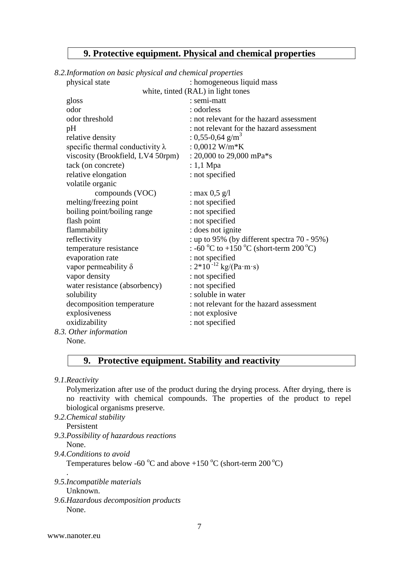## **9. Protective equipment. Physical and chemical properties**

#### *8.2.Information on basic physical and chemical properties*

| physical state                          | : homogeneous liquid mass                       |
|-----------------------------------------|-------------------------------------------------|
|                                         | white, tinted (RAL) in light tones              |
| gloss                                   | : semi-matt                                     |
| odor                                    | : odorless                                      |
| odor threshold                          | : not relevant for the hazard assessment        |
| pH                                      | : not relevant for the hazard assessment        |
| relative density                        | : 0,55-0,64 $\text{g/m}^3$                      |
| specific thermal conductivity $\lambda$ | : $0,0012$ W/m*K                                |
| viscosity (Brookfield, LV4 50rpm)       | : 20,000 to 29,000 mPa $*$ s                    |
| tack (on concrete)                      | $: 1,1$ Mpa                                     |
| relative elongation                     | : not specified                                 |
| volatile organic                        |                                                 |
| compounds (VOC)                         | : max $0.5$ g/l                                 |
| melting/freezing point                  | : not specified                                 |
| boiling point/boiling range             | : not specified                                 |
| flash point                             | : not specified                                 |
| flammability                            | : does not ignite                               |
| reflectivity                            | : up to 95% (by different spectra $70 - 95\%$ ) |
| temperature resistance                  | : -60 °C to +150 °C (short-term 200 °C)         |
| evaporation rate                        | : not specified                                 |
| vapor permeability $\delta$             | : $2*10^{-12}$ kg/(Pa·m·s)                      |
| vapor density                           | : not specified                                 |
| water resistance (absorbency)           | : not specified                                 |
| solubility                              | : soluble in water                              |
| decomposition temperature               | : not relevant for the hazard assessment        |
| explosiveness                           | : not explosive                                 |
| oxidizability                           | : not specified                                 |
| 8.3. Other information                  |                                                 |
| None.                                   |                                                 |

## **9. Protective equipment. Stability and reactivity**

*9.1.Reactivity*

Polymerization after use of the product during the drying process. After drying, there is no reactivity with chemical compounds. The properties of the product to repel biological organisms preserve.

- *9.2.Chemical stability* Persistent
- *9.3.Possibility of hazardous reactions* None.
- *9.4.Conditions to avoid*

Temperatures below -60  $\rm{^oC}$  and above +150  $\rm{^oC}$  (short-term 200  $\rm{^oC}$ )

*9.5.Incompatible materials*

Unknown.

.

*9.6.Hazardous decomposition products* None.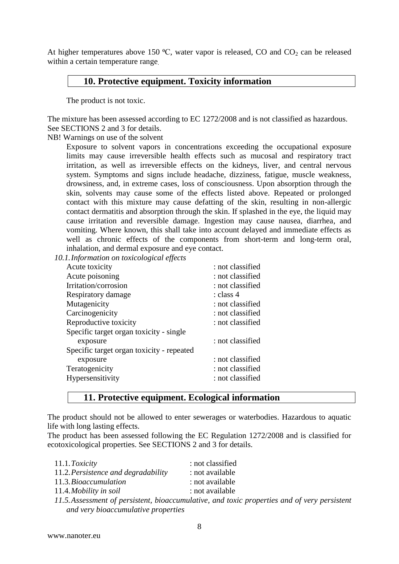At higher temperatures above 150  $\degree$ C, water vapor is released, CO and CO<sub>2</sub> can be released within a certain temperature range.

## **10. Protective equipment. Toxicity information**

The product is not toxic.

The mixture has been assessed according to EC 1272/2008 and is not classified as hazardous. See SECTIONS 2 and 3 for details.

NB! Warnings on use of the solvent

Exposure to solvent vapors in concentrations exceeding the occupational exposure limits may cause irreversible health effects such as mucosal and respiratory tract irritation, as well as irreversible effects on the kidneys, liver, and central nervous system. Symptoms and signs include headache, dizziness, fatigue, muscle weakness, drowsiness, and, in extreme cases, loss of consciousness. Upon absorption through the skin, solvents may cause some of the effects listed above. Repeated or prolonged contact with this mixture may cause defatting of the skin, resulting in non-allergic contact dermatitis and absorption through the skin. If splashed in the eye, the liquid may cause irritation and reversible damage. Ingestion may cause nausea, diarrhea, and vomiting. Where known, this shall take into account delayed and immediate effects as well as chronic effects of the components from short-term and long-term oral, inhalation, and dermal exposure and eye contact.

*10.1.Information on toxicological effects*

| : not classified |
|------------------|
| : not classified |
| : not classified |
| : class 4        |
| : not classified |
| : not classified |
| : not classified |
|                  |
| : not classified |
|                  |
| : not classified |
| : not classified |
| : not classified |
|                  |

## **11. Protective equipment. Ecological information**

The product should not be allowed to enter sewerages or waterbodies. Hazardous to aquatic life with long lasting effects.

The product has been assessed following the EC Regulation 1272/2008 and is classified for ecotoxicological properties. See SECTIONS 2 and 3 for details.

| 11.1. Toxicity                      | : not classified                                                                             |
|-------------------------------------|----------------------------------------------------------------------------------------------|
| 11.2. Persistence and degradability | : not available                                                                              |
| 11.3. Bioaccumulation               | : not available                                                                              |
| 11.4. Mobility in soil              | : not available                                                                              |
|                                     | 11.5. Assessment of persistent, bioaccumulative, and toxic properties and of very persistent |
| and very bioaccumulative properties |                                                                                              |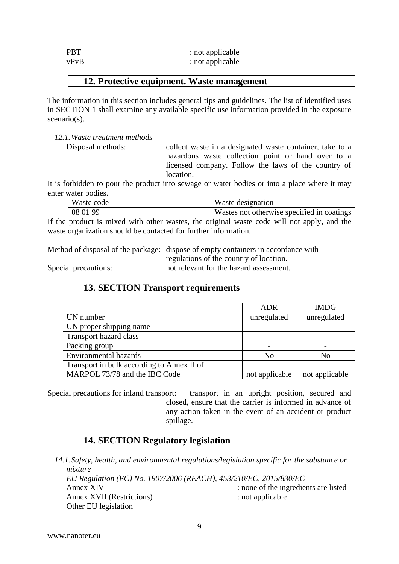| <b>PBT</b> | : not applicable |
|------------|------------------|
| vPvB       | : not applicable |

### **12. Protective equipment. Waste management**

The information in this section includes general tips and guidelines. The list of identified uses in SECTION 1 shall examine any available specific use information provided in the exposure scenario(s).

*12.1.Waste treatment methods*

Disposal methods: collect waste in a designated waste container, take to a hazardous waste collection point or hand over to a licensed company. Follow the laws of the country of location.

It is forbidden to pour the product into sewage or water bodies or into a place where it may enter water bodies.

| Waste code | Waste designation                          |
|------------|--------------------------------------------|
| 08 01 99   | Wastes not otherwise specified in coatings |

If the product is mixed with other wastes, the original waste code will not apply, and the waste organization should be contacted for further information.

Method of disposal of the package: dispose of empty containers in accordance with

regulations of the country of location.

Special precautions: not relevant for the hazard assessment.

## **13. SECTION Transport requirements**

|                                            | <b>ADR</b>     | <b>IMDG</b>    |
|--------------------------------------------|----------------|----------------|
| UN number                                  | unregulated    | unregulated    |
| UN proper shipping name                    |                |                |
| Transport hazard class                     |                |                |
| Packing group                              |                |                |
| <b>Environmental hazards</b>               | N <sub>o</sub> | No             |
| Transport in bulk according to Annex II of |                |                |
| MARPOL 73/78 and the IBC Code              | not applicable | not applicable |

Special precautions for inland transport: transport in an upright position, secured and closed, ensure that the carrier is informed in advance of any action taken in the event of an accident or product spillage.

## **14. SECTION Regulatory legislation**

*14.1.Safety, health, and environmental regulations/legislation specific for the substance or mixture EU Regulation (EC) No. 1907/2006 (REACH), 453/210/EC, 2015/830/EC* Annex XIV : none of the ingredients are listed Annex XVII (Restrictions) : not applicable Other EU legislation